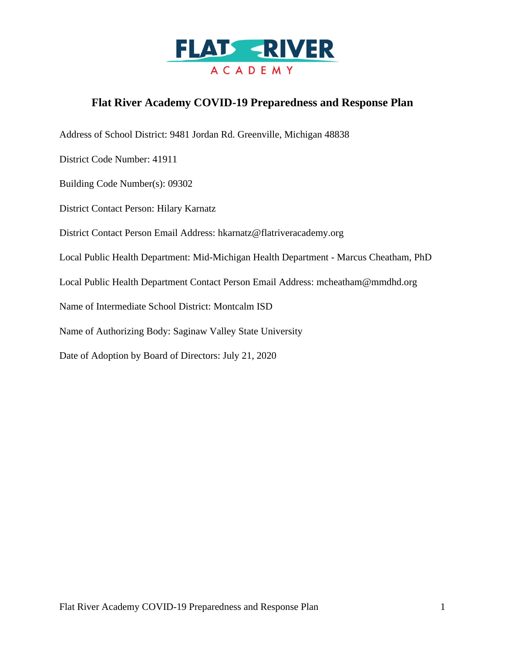

# **Flat River Academy COVID-19 Preparedness and Response Plan**

Address of School District: 9481 Jordan Rd. Greenville, Michigan 48838

District Code Number: 41911

Building Code Number(s): 09302

District Contact Person: Hilary Karnatz

District Contact Person Email Address: hkarnatz@flatriveracademy.org

Local Public Health Department: Mid-Michigan Health Department - Marcus Cheatham, PhD

Local Public Health Department Contact Person Email Address: mcheatham@mmdhd.org

Name of Intermediate School District: Montcalm ISD

Name of Authorizing Body: Saginaw Valley State University

Date of Adoption by Board of Directors: July 21, 2020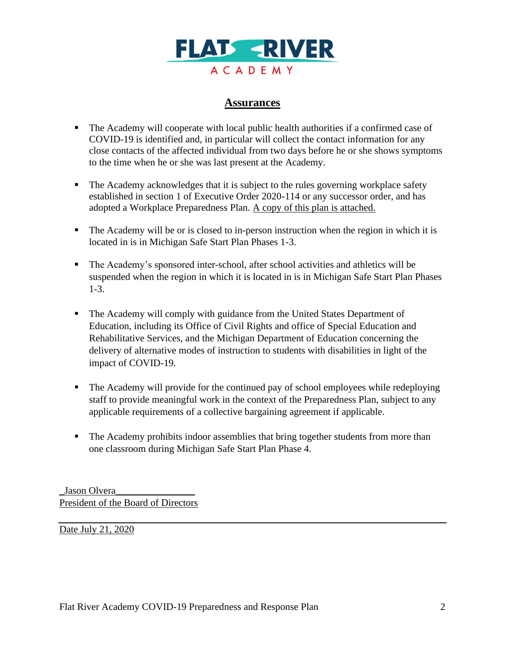

### **Assurances**

- The Academy will cooperate with local public health authorities if a confirmed case of COVID-19 is identified and, in particular will collect the contact information for any close contacts of the affected individual from two days before he or she shows symptoms to the time when he or she was last present at the Academy.
- The Academy acknowledges that it is subject to the rules governing workplace safety established in section 1 of Executive Order 2020-114 or any successor order, and has adopted a Workplace Preparedness Plan. A copy of this plan is attached.
- The Academy will be or is closed to in-person instruction when the region in which it is located in is in Michigan Safe Start Plan Phases 1-3.
- The Academy's sponsored inter-school, after school activities and athletics will be suspended when the region in which it is located in is in Michigan Safe Start Plan Phases 1-3.
- **The Academy will comply with guidance from the United States Department of** Education, including its Office of Civil Rights and office of Special Education and Rehabilitative Services, and the Michigan Department of Education concerning the delivery of alternative modes of instruction to students with disabilities in light of the impact of COVID-19.
- The Academy will provide for the continued pay of school employees while redeploying staff to provide meaningful work in the context of the Preparedness Plan, subject to any applicable requirements of a collective bargaining agreement if applicable.
- **The Academy prohibits indoor assemblies that bring together students from more than** one classroom during Michigan Safe Start Plan Phase 4.

\_Jason Olvera\_\_\_\_\_\_\_\_\_\_\_\_\_\_\_\_ President of the Board of Directors

Date July 21, 2020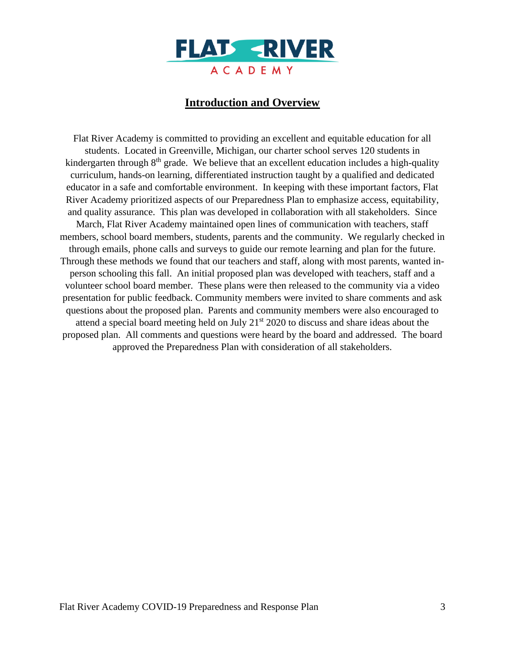

### **Introduction and Overview**

Flat River Academy is committed to providing an excellent and equitable education for all students. Located in Greenville, Michigan, our charter school serves 120 students in kindergarten through  $8<sup>th</sup>$  grade. We believe that an excellent education includes a high-quality curriculum, hands-on learning, differentiated instruction taught by a qualified and dedicated educator in a safe and comfortable environment. In keeping with these important factors, Flat River Academy prioritized aspects of our Preparedness Plan to emphasize access, equitability, and quality assurance. This plan was developed in collaboration with all stakeholders. Since March, Flat River Academy maintained open lines of communication with teachers, staff members, school board members, students, parents and the community. We regularly checked in through emails, phone calls and surveys to guide our remote learning and plan for the future. Through these methods we found that our teachers and staff, along with most parents, wanted inperson schooling this fall. An initial proposed plan was developed with teachers, staff and a volunteer school board member. These plans were then released to the community via a video presentation for public feedback. Community members were invited to share comments and ask questions about the proposed plan. Parents and community members were also encouraged to attend a special board meeting held on July  $21<sup>st</sup> 2020$  to discuss and share ideas about the proposed plan. All comments and questions were heard by the board and addressed. The board approved the Preparedness Plan with consideration of all stakeholders.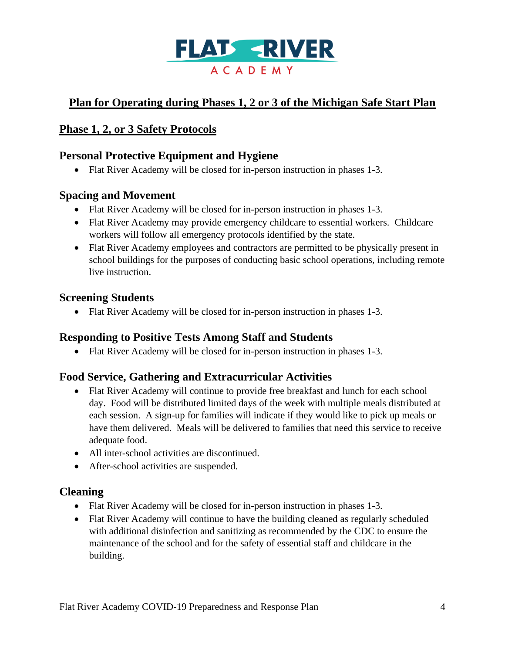

# **Plan for Operating during Phases 1, 2 or 3 of the Michigan Safe Start Plan**

### **Phase 1, 2, or 3 Safety Protocols**

# **Personal Protective Equipment and Hygiene**

• Flat River Academy will be closed for in-person instruction in phases 1-3.

#### **Spacing and Movement**

- Flat River Academy will be closed for in-person instruction in phases 1-3.
- Flat River Academy may provide emergency childcare to essential workers. Childcare workers will follow all emergency protocols identified by the state.
- Flat River Academy employees and contractors are permitted to be physically present in school buildings for the purposes of conducting basic school operations, including remote live instruction.

#### **Screening Students**

• Flat River Academy will be closed for in-person instruction in phases 1-3.

#### **Responding to Positive Tests Among Staff and Students**

• Flat River Academy will be closed for in-person instruction in phases 1-3.

#### **Food Service, Gathering and Extracurricular Activities**

- Flat River Academy will continue to provide free breakfast and lunch for each school day. Food will be distributed limited days of the week with multiple meals distributed at each session. A sign-up for families will indicate if they would like to pick up meals or have them delivered. Meals will be delivered to families that need this service to receive adequate food.
- All inter-school activities are discontinued.
- After-school activities are suspended.

#### **Cleaning**

- Flat River Academy will be closed for in-person instruction in phases 1-3.
- Flat River Academy will continue to have the building cleaned as regularly scheduled with additional disinfection and sanitizing as recommended by the CDC to ensure the maintenance of the school and for the safety of essential staff and childcare in the building.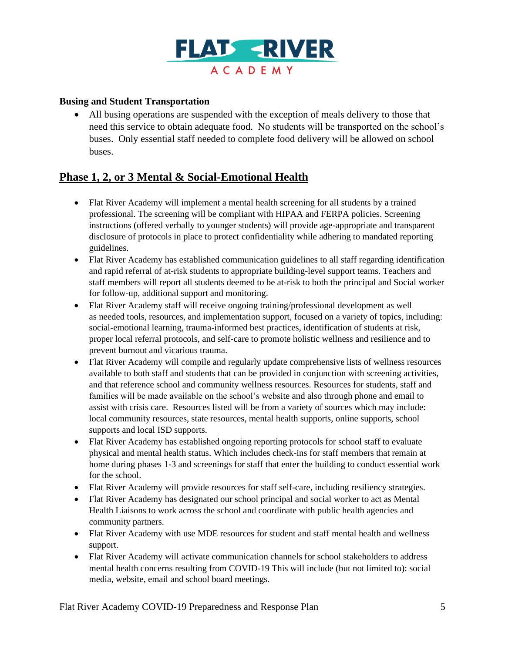

#### **Busing and Student Transportation**

• All busing operations are suspended with the exception of meals delivery to those that need this service to obtain adequate food. No students will be transported on the school's buses. Only essential staff needed to complete food delivery will be allowed on school buses.

## **Phase 1, 2, or 3 Mental & Social-Emotional Health**

- Flat River Academy will implement a mental health screening for all students by a trained professional. The screening will be compliant with HIPAA and FERPA policies. Screening instructions (offered verbally to younger students) will provide age-appropriate and transparent disclosure of protocols in place to protect confidentiality while adhering to mandated reporting guidelines.
- Flat River Academy has established communication guidelines to all staff regarding identification and rapid referral of at-risk students to appropriate building-level support teams. Teachers and staff members will report all students deemed to be at-risk to both the principal and Social worker for follow-up, additional support and monitoring.
- Flat River Academy staff will receive ongoing training/professional development as well as needed tools, resources, and implementation support, focused on a variety of topics, including: social-emotional learning, trauma-informed best practices, identification of students at risk, proper local referral protocols, and self-care to promote holistic wellness and resilience and to prevent burnout and vicarious trauma.
- Flat River Academy will compile and regularly update comprehensive lists of wellness resources available to both staff and students that can be provided in conjunction with screening activities, and that reference school and community wellness resources. Resources for students, staff and families will be made available on the school's website and also through phone and email to assist with crisis care. Resources listed will be from a variety of sources which may include: local community resources, state resources, mental health supports, online supports, school supports and local ISD supports.
- Flat River Academy has established ongoing reporting protocols for school staff to evaluate physical and mental health status. Which includes check-ins for staff members that remain at home during phases 1-3 and screenings for staff that enter the building to conduct essential work for the school.
- Flat River Academy will provide resources for staff self-care, including resiliency strategies.
- Flat River Academy has designated our school principal and social worker to act as Mental Health Liaisons to work across the school and coordinate with public health agencies and community partners.
- Flat River Academy with use MDE resources for student and staff mental health and wellness support.
- Flat River Academy will activate communication channels for school stakeholders to address mental health concerns resulting from COVID-19 This will include (but not limited to): social media, website, email and school board meetings.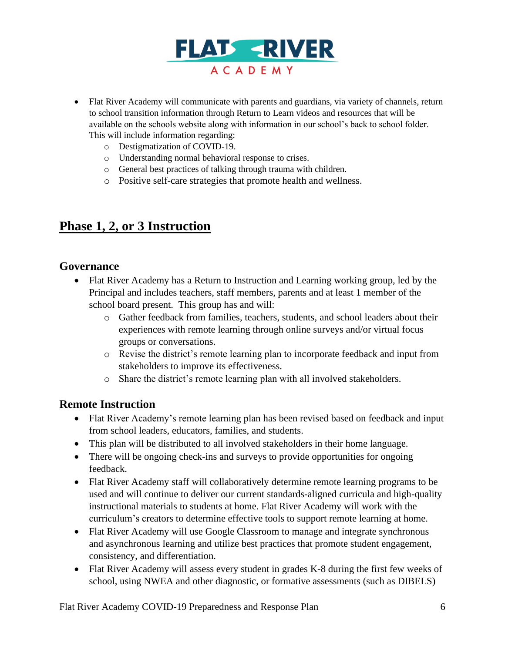

- Flat River Academy will communicate with parents and guardians, via variety of channels, return to school transition information through Return to Learn videos and resources that will be available on the schools website along with information in our school's back to school folder. This will include information regarding:
	- o Destigmatization of COVID-19.
	- o Understanding normal behavioral response to crises.
	- o General best practices of talking through trauma with children.
	- o Positive self-care strategies that promote health and wellness.

# **Phase 1, 2, or 3 Instruction**

### **Governance**

- Flat River Academy has a Return to Instruction and Learning working group, led by the Principal and includes teachers, staff members, parents and at least 1 member of the school board present. This group has and will:
	- o Gather feedback from families, teachers, students, and school leaders about their experiences with remote learning through online surveys and/or virtual focus groups or conversations.
	- o Revise the district's remote learning plan to incorporate feedback and input from stakeholders to improve its effectiveness.
	- o Share the district's remote learning plan with all involved stakeholders.

#### **Remote Instruction**

- Flat River Academy's remote learning plan has been revised based on feedback and input from school leaders, educators, families, and students.
- This plan will be distributed to all involved stakeholders in their home language.
- There will be ongoing check-ins and surveys to provide opportunities for ongoing feedback.
- Flat River Academy staff will collaboratively determine remote learning programs to be used and will continue to deliver our current standards-aligned curricula and high-quality instructional materials to students at home. Flat River Academy will work with the curriculum's creators to determine effective tools to support remote learning at home.
- Flat River Academy will use Google Classroom to manage and integrate synchronous and asynchronous learning and utilize best practices that promote student engagement, consistency, and differentiation.
- Flat River Academy will assess every student in grades K-8 during the first few weeks of school, using NWEA and other diagnostic, or formative assessments (such as DIBELS)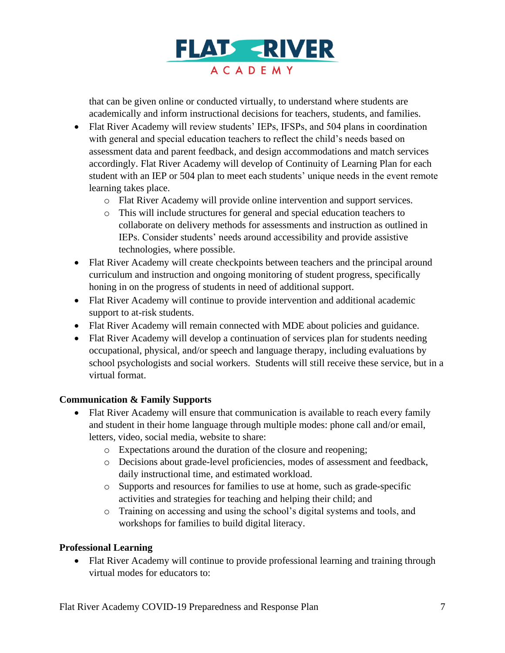

that can be given online or conducted virtually, to understand where students are academically and inform instructional decisions for teachers, students, and families.

- Flat River Academy will review students' IEPs, IFSPs, and 504 plans in coordination with general and special education teachers to reflect the child's needs based on assessment data and parent feedback, and design accommodations and match services accordingly. Flat River Academy will develop of Continuity of Learning Plan for each student with an IEP or 504 plan to meet each students' unique needs in the event remote learning takes place.
	- o Flat River Academy will provide online intervention and support services.
	- o This will include structures for general and special education teachers to collaborate on delivery methods for assessments and instruction as outlined in IEPs. Consider students' needs around accessibility and provide assistive technologies, where possible.
- Flat River Academy will create checkpoints between teachers and the principal around curriculum and instruction and ongoing monitoring of student progress, specifically honing in on the progress of students in need of additional support.
- Flat River Academy will continue to provide intervention and additional academic support to at-risk students.
- Flat River Academy will remain connected with MDE about policies and guidance.
- Flat River Academy will develop a continuation of services plan for students needing occupational, physical, and/or speech and language therapy, including evaluations by school psychologists and social workers. Students will still receive these service, but in a virtual format.

#### **Communication & Family Supports**

- Flat River Academy will ensure that communication is available to reach every family and student in their home language through multiple modes: phone call and/or email, letters, video, social media, website to share:
	- o Expectations around the duration of the closure and reopening;
	- o Decisions about grade-level proficiencies, modes of assessment and feedback, daily instructional time, and estimated workload.
	- o Supports and resources for families to use at home, such as grade-specific activities and strategies for teaching and helping their child; and
	- o Training on accessing and using the school's digital systems and tools, and workshops for families to build digital literacy.

#### **Professional Learning**

• Flat River Academy will continue to provide professional learning and training through virtual modes for educators to: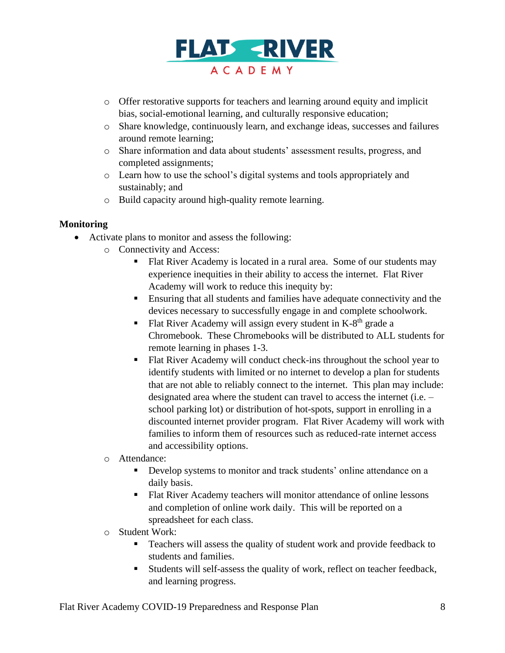

- o Offer restorative supports for teachers and learning around equity and implicit bias, social-emotional learning, and culturally responsive education;
- o Share knowledge, continuously learn, and exchange ideas, successes and failures around remote learning;
- o Share information and data about students' assessment results, progress, and completed assignments;
- o Learn how to use the school's digital systems and tools appropriately and sustainably; and
- o Build capacity around high-quality remote learning.

#### **Monitoring**

- Activate plans to monitor and assess the following:
	- o Connectivity and Access:
		- Flat River Academy is located in a rural area. Some of our students may experience inequities in their ability to access the internet. Flat River Academy will work to reduce this inequity by:
		- **Ensuring that all students and families have adequate connectivity and the** devices necessary to successfully engage in and complete schoolwork.
		- Flat River Academy will assign every student in  $K-8<sup>th</sup>$  grade a Chromebook. These Chromebooks will be distributed to ALL students for remote learning in phases 1-3.
		- Flat River Academy will conduct check-ins throughout the school year to identify students with limited or no internet to develop a plan for students that are not able to reliably connect to the internet. This plan may include: designated area where the student can travel to access the internet (i.e. – school parking lot) or distribution of hot-spots, support in enrolling in a discounted internet provider program. Flat River Academy will work with families to inform them of resources such as reduced-rate internet access and accessibility options.
	- o Attendance:
		- **•** Develop systems to monitor and track students' online attendance on a daily basis.
		- Flat River Academy teachers will monitor attendance of online lessons and completion of online work daily. This will be reported on a spreadsheet for each class.
	- o Student Work:
		- Teachers will assess the quality of student work and provide feedback to students and families.
		- Students will self-assess the quality of work, reflect on teacher feedback, and learning progress.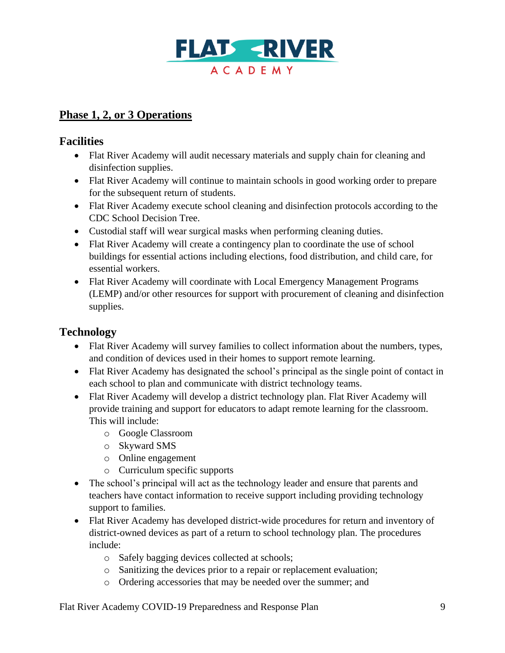

# **Phase 1, 2, or 3 Operations**

# **Facilities**

- Flat River Academy will audit necessary materials and supply chain for cleaning and disinfection supplies.
- Flat River Academy will continue to maintain schools in good working order to prepare for the subsequent return of students.
- Flat River Academy execute school cleaning and disinfection protocols according to the CDC School Decision Tree.
- Custodial staff will wear surgical masks when performing cleaning duties.
- Flat River Academy will create a contingency plan to coordinate the use of school buildings for essential actions including elections, food distribution, and child care, for essential workers.
- Flat River Academy will coordinate with Local Emergency Management Programs (LEMP) and/or other resources for support with procurement of cleaning and disinfection supplies.

# **Technology**

- Flat River Academy will survey families to collect information about the numbers, types, and condition of devices used in their homes to support remote learning.
- Flat River Academy has designated the school's principal as the single point of contact in each school to plan and communicate with district technology teams.
- Flat River Academy will develop a district technology plan. Flat River Academy will provide training and support for educators to adapt remote learning for the classroom. This will include:
	- o Google Classroom
	- o Skyward SMS
	- o Online engagement
	- o Curriculum specific supports
- The school's principal will act as the technology leader and ensure that parents and teachers have contact information to receive support including providing technology support to families.
- Flat River Academy has developed district-wide procedures for return and inventory of district-owned devices as part of a return to school technology plan. The procedures include:
	- o Safely bagging devices collected at schools;
	- o Sanitizing the devices prior to a repair or replacement evaluation;
	- o Ordering accessories that may be needed over the summer; and

Flat River Academy COVID-19 Preparedness and Response Plan 9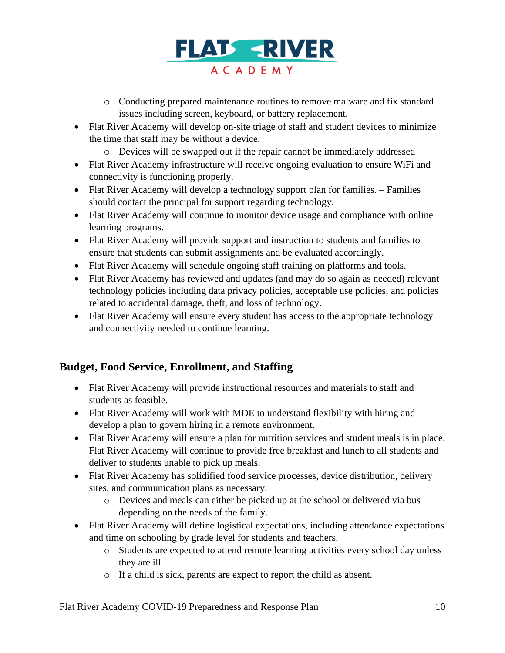

- o Conducting prepared maintenance routines to remove malware and fix standard issues including screen, keyboard, or battery replacement.
- Flat River Academy will develop on-site triage of staff and student devices to minimize the time that staff may be without a device.
	- o Devices will be swapped out if the repair cannot be immediately addressed
- Flat River Academy infrastructure will receive ongoing evaluation to ensure WiFi and connectivity is functioning properly.
- Flat River Academy will develop a technology support plan for families. Families should contact the principal for support regarding technology.
- Flat River Academy will continue to monitor device usage and compliance with online learning programs.
- Flat River Academy will provide support and instruction to students and families to ensure that students can submit assignments and be evaluated accordingly.
- Flat River Academy will schedule ongoing staff training on platforms and tools.
- Flat River Academy has reviewed and updates (and may do so again as needed) relevant technology policies including data privacy policies, acceptable use policies, and policies related to accidental damage, theft, and loss of technology.
- Flat River Academy will ensure every student has access to the appropriate technology and connectivity needed to continue learning.

## **Budget, Food Service, Enrollment, and Staffing**

- Flat River Academy will provide instructional resources and materials to staff and students as feasible.
- Flat River Academy will work with MDE to understand flexibility with hiring and develop a plan to govern hiring in a remote environment.
- Flat River Academy will ensure a plan for nutrition services and student meals is in place. Flat River Academy will continue to provide free breakfast and lunch to all students and deliver to students unable to pick up meals.
- Flat River Academy has solidified food service processes, device distribution, delivery sites, and communication plans as necessary.
	- o Devices and meals can either be picked up at the school or delivered via bus depending on the needs of the family.
- Flat River Academy will define logistical expectations, including attendance expectations and time on schooling by grade level for students and teachers.
	- o Students are expected to attend remote learning activities every school day unless they are ill.
	- o If a child is sick, parents are expect to report the child as absent.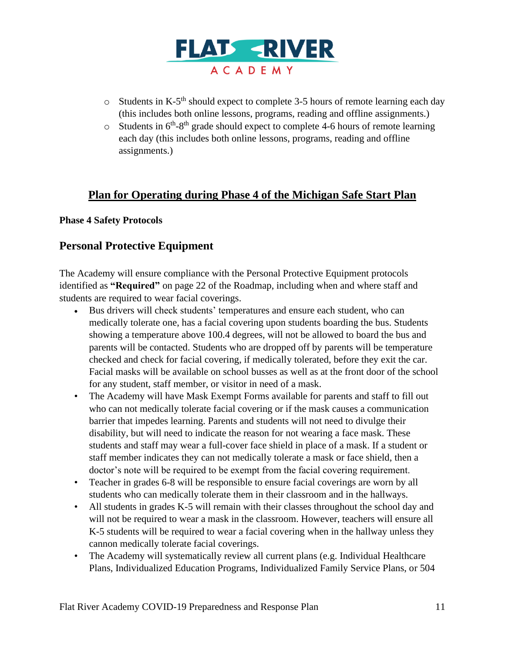

- $\circ$  Students in K-5<sup>th</sup> should expect to complete 3-5 hours of remote learning each day (this includes both online lessons, programs, reading and offline assignments.)
- $\circ$  Students in  $6<sup>th</sup> 8<sup>th</sup>$  grade should expect to complete 4-6 hours of remote learning each day (this includes both online lessons, programs, reading and offline assignments.)

## **Plan for Operating during Phase 4 of the Michigan Safe Start Plan**

#### **Phase 4 Safety Protocols**

### **Personal Protective Equipment**

The Academy will ensure compliance with the Personal Protective Equipment protocols identified as **"Required"** on page 22 of the Roadmap, including when and where staff and students are required to wear facial coverings.

- Bus drivers will check students' temperatures and ensure each student, who can medically tolerate one, has a facial covering upon students boarding the bus. Students showing a temperature above 100.4 degrees, will not be allowed to board the bus and parents will be contacted. Students who are dropped off by parents will be temperature checked and check for facial covering, if medically tolerated, before they exit the car. Facial masks will be available on school busses as well as at the front door of the school for any student, staff member, or visitor in need of a mask.
- The Academy will have Mask Exempt Forms available for parents and staff to fill out who can not medically tolerate facial covering or if the mask causes a communication barrier that impedes learning. Parents and students will not need to divulge their disability, but will need to indicate the reason for not wearing a face mask. These students and staff may wear a full-cover face shield in place of a mask. If a student or staff member indicates they can not medically tolerate a mask or face shield, then a doctor's note will be required to be exempt from the facial covering requirement.
- Teacher in grades 6-8 will be responsible to ensure facial coverings are worn by all students who can medically tolerate them in their classroom and in the hallways.
- All students in grades K-5 will remain with their classes throughout the school day and will not be required to wear a mask in the classroom. However, teachers will ensure all K-5 students will be required to wear a facial covering when in the hallway unless they cannon medically tolerate facial coverings.
- The Academy will systematically review all current plans (e.g. Individual Healthcare Plans, Individualized Education Programs, Individualized Family Service Plans, or 504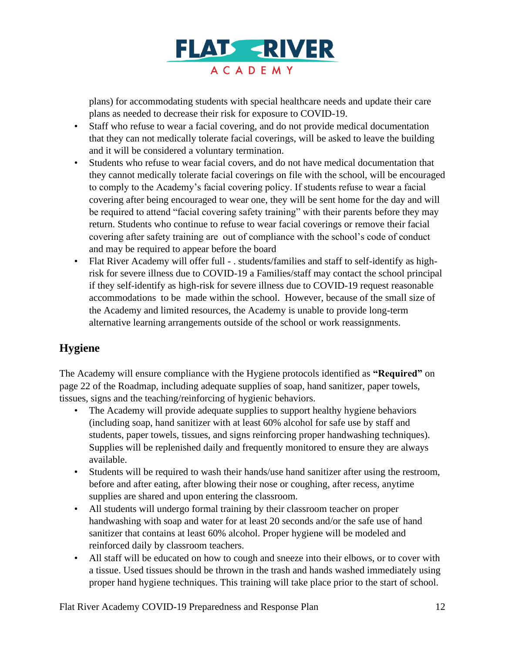

plans) for accommodating students with special healthcare needs and update their care plans as needed to decrease their risk for exposure to COVID-19.

- Staff who refuse to wear a facial covering, and do not provide medical documentation that they can not medically tolerate facial coverings, will be asked to leave the building and it will be considered a voluntary termination.
- Students who refuse to wear facial covers, and do not have medical documentation that they cannot medically tolerate facial coverings on file with the school, will be encouraged to comply to the Academy's facial covering policy. If students refuse to wear a facial covering after being encouraged to wear one, they will be sent home for the day and will be required to attend "facial covering safety training" with their parents before they may return. Students who continue to refuse to wear facial coverings or remove their facial covering after safety training are out of compliance with the school's code of conduct and may be required to appear before the board
- Flat River Academy will offer full . students/families and staff to self-identify as highrisk for severe illness due to COVID-19 a Families/staff may contact the school principal if they self-identify as high-risk for severe illness due to COVID-19 request reasonable accommodations to be made within the school. However, because of the small size of the Academy and limited resources, the Academy is unable to provide long-term alternative learning arrangements outside of the school or work reassignments.

# **Hygiene**

The Academy will ensure compliance with the Hygiene protocols identified as **"Required"** on page 22 of the Roadmap, including adequate supplies of soap, hand sanitizer, paper towels, tissues, signs and the teaching/reinforcing of hygienic behaviors.

- The Academy will provide adequate supplies to support healthy hygiene behaviors (including soap, hand sanitizer with at least 60% alcohol for safe use by staff and students, paper towels, tissues, and signs reinforcing proper handwashing techniques). Supplies will be replenished daily and frequently monitored to ensure they are always available.
- Students will be required to wash their hands/use hand sanitizer after using the restroom, before and after eating, after blowing their nose or coughing, after recess, anytime supplies are shared and upon entering the classroom.
- All students will undergo formal training by their classroom teacher on proper handwashing with soap and water for at least 20 seconds and/or the safe use of hand sanitizer that contains at least 60% alcohol. Proper hygiene will be modeled and reinforced daily by classroom teachers.
- All staff will be educated on how to cough and sneeze into their elbows, or to cover with a tissue. Used tissues should be thrown in the trash and hands washed immediately using proper hand hygiene techniques. This training will take place prior to the start of school.

Flat River Academy COVID-19 Preparedness and Response Plan 12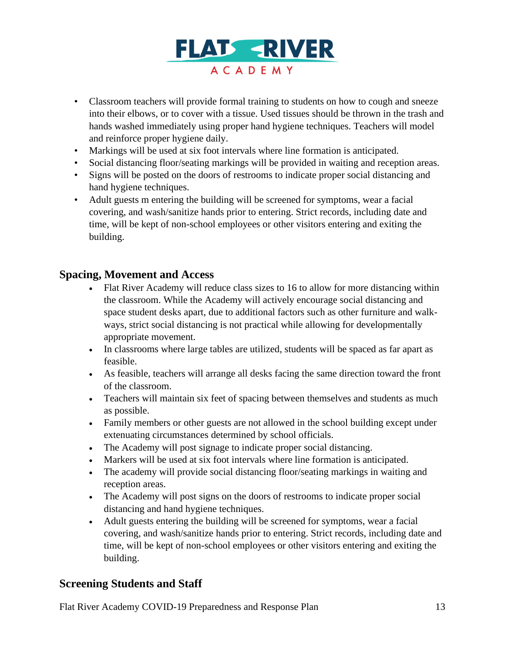

- Classroom teachers will provide formal training to students on how to cough and sneeze into their elbows, or to cover with a tissue. Used tissues should be thrown in the trash and hands washed immediately using proper hand hygiene techniques. Teachers will model and reinforce proper hygiene daily.
- Markings will be used at six foot intervals where line formation is anticipated.
- Social distancing floor/seating markings will be provided in waiting and reception areas.
- Signs will be posted on the doors of restrooms to indicate proper social distancing and hand hygiene techniques.
- Adult guests m entering the building will be screened for symptoms, wear a facial covering, and wash/sanitize hands prior to entering. Strict records, including date and time, will be kept of non-school employees or other visitors entering and exiting the building.

## **Spacing, Movement and Access**

- Flat River Academy will reduce class sizes to 16 to allow for more distancing within the classroom. While the Academy will actively encourage social distancing and space student desks apart, due to additional factors such as other furniture and walkways, strict social distancing is not practical while allowing for developmentally appropriate movement.
- In classrooms where large tables are utilized, students will be spaced as far apart as feasible.
- As feasible, teachers will arrange all desks facing the same direction toward the front of the classroom.
- Teachers will maintain six feet of spacing between themselves and students as much as possible.
- Family members or other guests are not allowed in the school building except under extenuating circumstances determined by school officials.
- The Academy will post signage to indicate proper social distancing.
- Markers will be used at six foot intervals where line formation is anticipated.
- The academy will provide social distancing floor/seating markings in waiting and reception areas.
- The Academy will post signs on the doors of restrooms to indicate proper social distancing and hand hygiene techniques.
- Adult guests entering the building will be screened for symptoms, wear a facial covering, and wash/sanitize hands prior to entering. Strict records, including date and time, will be kept of non-school employees or other visitors entering and exiting the building.

## **Screening Students and Staff**

Flat River Academy COVID-19 Preparedness and Response Plan 13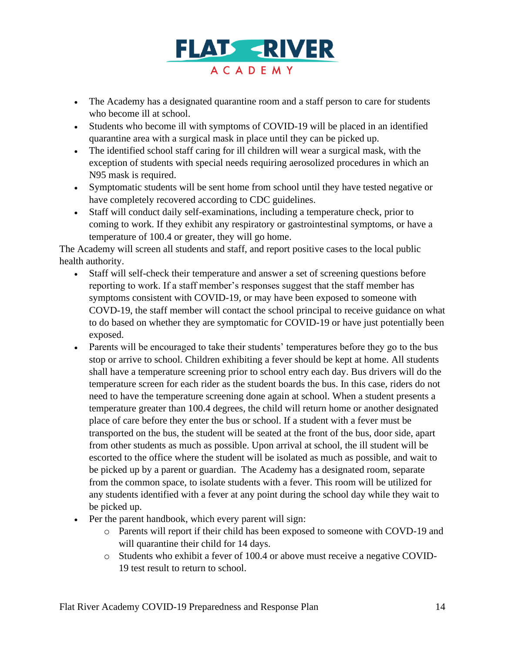

- The Academy has a designated quarantine room and a staff person to care for students who become ill at school.
- Students who become ill with symptoms of COVID-19 will be placed in an identified quarantine area with a surgical mask in place until they can be picked up.
- The identified school staff caring for ill children will wear a surgical mask, with the exception of students with special needs requiring aerosolized procedures in which an N95 mask is required.
- Symptomatic students will be sent home from school until they have tested negative or have completely recovered according to CDC guidelines.
- Staff will conduct daily self-examinations, including a temperature check, prior to coming to work. If they exhibit any respiratory or gastrointestinal symptoms, or have a temperature of 100.4 or greater, they will go home.

The Academy will screen all students and staff, and report positive cases to the local public health authority.

- Staff will self-check their temperature and answer a set of screening questions before reporting to work. If a staff member's responses suggest that the staff member has symptoms consistent with COVID-19, or may have been exposed to someone with COVD-19, the staff member will contact the school principal to receive guidance on what to do based on whether they are symptomatic for COVID-19 or have just potentially been exposed.
- Parents will be encouraged to take their students' temperatures before they go to the bus stop or arrive to school. Children exhibiting a fever should be kept at home. All students shall have a temperature screening prior to school entry each day. Bus drivers will do the temperature screen for each rider as the student boards the bus. In this case, riders do not need to have the temperature screening done again at school. When a student presents a temperature greater than 100.4 degrees, the child will return home or another designated place of care before they enter the bus or school. If a student with a fever must be transported on the bus, the student will be seated at the front of the bus, door side, apart from other students as much as possible. Upon arrival at school, the ill student will be escorted to the office where the student will be isolated as much as possible, and wait to be picked up by a parent or guardian. The Academy has a designated room, separate from the common space, to isolate students with a fever. This room will be utilized for any students identified with a fever at any point during the school day while they wait to be picked up.
- Per the parent handbook, which every parent will sign:
	- o Parents will report if their child has been exposed to someone with COVD-19 and will quarantine their child for 14 days.
	- o Students who exhibit a fever of 100.4 or above must receive a negative COVID-19 test result to return to school.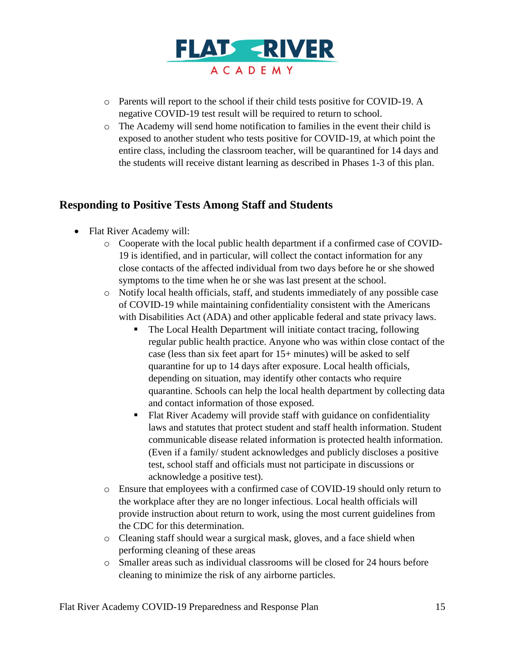

- o Parents will report to the school if their child tests positive for COVID-19. A negative COVID-19 test result will be required to return to school.
- o The Academy will send home notification to families in the event their child is exposed to another student who tests positive for COVID-19, at which point the entire class, including the classroom teacher, will be quarantined for 14 days and the students will receive distant learning as described in Phases 1-3 of this plan.

# **Responding to Positive Tests Among Staff and Students**

- Flat River Academy will:
	- o Cooperate with the local public health department if a confirmed case of COVID-19 is identified, and in particular, will collect the contact information for any close contacts of the affected individual from two days before he or she showed symptoms to the time when he or she was last present at the school.
	- o Notify local health officials, staff, and students immediately of any possible case of COVID-19 while maintaining confidentiality consistent with the Americans with Disabilities Act (ADA) and other applicable federal and state privacy laws.
		- The Local Health Department will initiate contact tracing, following regular public health practice. Anyone who was within close contact of the case (less than six feet apart for 15+ minutes) will be asked to self quarantine for up to 14 days after exposure. Local health officials, depending on situation, may identify other contacts who require quarantine. Schools can help the local health department by collecting data and contact information of those exposed.
		- Flat River Academy will provide staff with guidance on confidentiality laws and statutes that protect student and staff health information. Student communicable disease related information is protected health information. (Even if a family/ student acknowledges and publicly discloses a positive test, school staff and officials must not participate in discussions or acknowledge a positive test).
	- o Ensure that employees with a confirmed case of COVID-19 should only return to the workplace after they are no longer infectious. Local health officials will provide instruction about return to work, using the most current guidelines from the CDC for this determination.
	- o Cleaning staff should wear a surgical mask, gloves, and a face shield when performing cleaning of these areas
	- o Smaller areas such as individual classrooms will be closed for 24 hours before cleaning to minimize the risk of any airborne particles.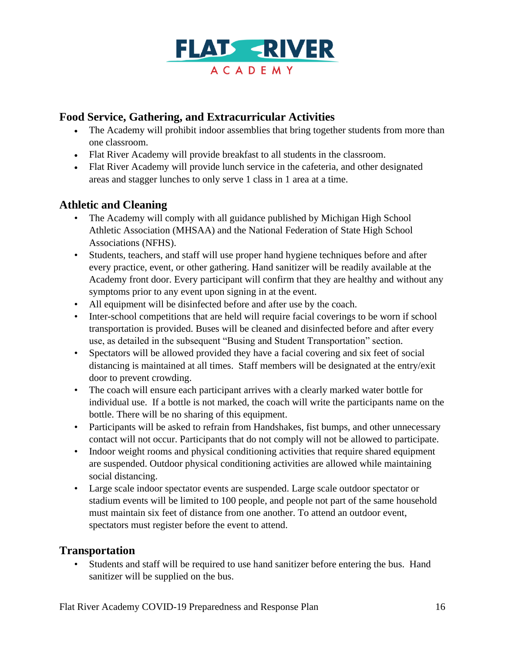

# **Food Service, Gathering, and Extracurricular Activities**

- The Academy will prohibit indoor assemblies that bring together students from more than one classroom.
- Flat River Academy will provide breakfast to all students in the classroom.
- Flat River Academy will provide lunch service in the cafeteria, and other designated areas and stagger lunches to only serve 1 class in 1 area at a time.

## **Athletic and Cleaning**

- The Academy will comply with all guidance published by Michigan High School Athletic Association (MHSAA) and the National Federation of State High School Associations (NFHS).
- Students, teachers, and staff will use proper hand hygiene techniques before and after every practice, event, or other gathering. Hand sanitizer will be readily available at the Academy front door. Every participant will confirm that they are healthy and without any symptoms prior to any event upon signing in at the event.
- All equipment will be disinfected before and after use by the coach.
- Inter-school competitions that are held will require facial coverings to be worn if school transportation is provided. Buses will be cleaned and disinfected before and after every use, as detailed in the subsequent "Busing and Student Transportation" section.
- Spectators will be allowed provided they have a facial covering and six feet of social distancing is maintained at all times. Staff members will be designated at the entry/exit door to prevent crowding.
- The coach will ensure each participant arrives with a clearly marked water bottle for individual use. If a bottle is not marked, the coach will write the participants name on the bottle. There will be no sharing of this equipment.
- Participants will be asked to refrain from Handshakes, fist bumps, and other unnecessary contact will not occur. Participants that do not comply will not be allowed to participate.
- Indoor weight rooms and physical conditioning activities that require shared equipment are suspended. Outdoor physical conditioning activities are allowed while maintaining social distancing.
- Large scale indoor spectator events are suspended. Large scale outdoor spectator or stadium events will be limited to 100 people, and people not part of the same household must maintain six feet of distance from one another. To attend an outdoor event, spectators must register before the event to attend.

## **Transportation**

• Students and staff will be required to use hand sanitizer before entering the bus. Hand sanitizer will be supplied on the bus.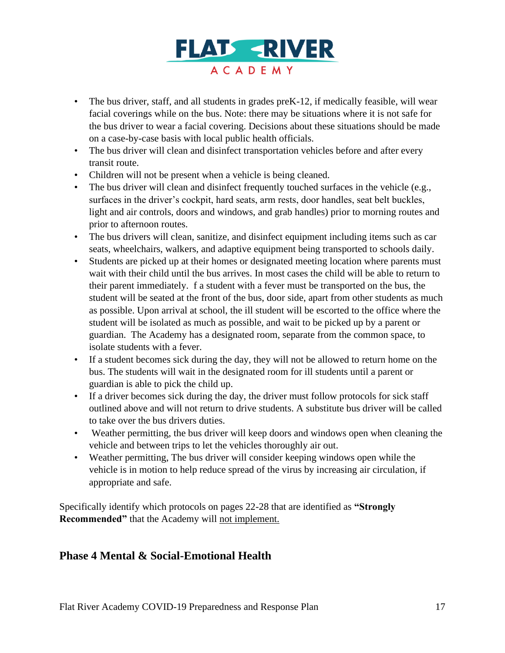

- The bus driver, staff, and all students in grades preK-12, if medically feasible, will wear facial coverings while on the bus. Note: there may be situations where it is not safe for the bus driver to wear a facial covering. Decisions about these situations should be made on a case-by-case basis with local public health officials.
- The bus driver will clean and disinfect transportation vehicles before and after every transit route.
- Children will not be present when a vehicle is being cleaned.
- The bus driver will clean and disinfect frequently touched surfaces in the vehicle (e.g., surfaces in the driver's cockpit, hard seats, arm rests, door handles, seat belt buckles, light and air controls, doors and windows, and grab handles) prior to morning routes and prior to afternoon routes.
- The bus drivers will clean, sanitize, and disinfect equipment including items such as car seats, wheelchairs, walkers, and adaptive equipment being transported to schools daily.
- Students are picked up at their homes or designated meeting location where parents must wait with their child until the bus arrives. In most cases the child will be able to return to their parent immediately. f a student with a fever must be transported on the bus, the student will be seated at the front of the bus, door side, apart from other students as much as possible. Upon arrival at school, the ill student will be escorted to the office where the student will be isolated as much as possible, and wait to be picked up by a parent or guardian. The Academy has a designated room, separate from the common space, to isolate students with a fever.
- If a student becomes sick during the day, they will not be allowed to return home on the bus. The students will wait in the designated room for ill students until a parent or guardian is able to pick the child up.
- If a driver becomes sick during the day, the driver must follow protocols for sick staff outlined above and will not return to drive students. A substitute bus driver will be called to take over the bus drivers duties.
- Weather permitting, the bus driver will keep doors and windows open when cleaning the vehicle and between trips to let the vehicles thoroughly air out.
- Weather permitting, The bus driver will consider keeping windows open while the vehicle is in motion to help reduce spread of the virus by increasing air circulation, if appropriate and safe.

Specifically identify which protocols on pages 22-28 that are identified as **"Strongly Recommended"** that the Academy will not implement.

# **Phase 4 Mental & Social-Emotional Health**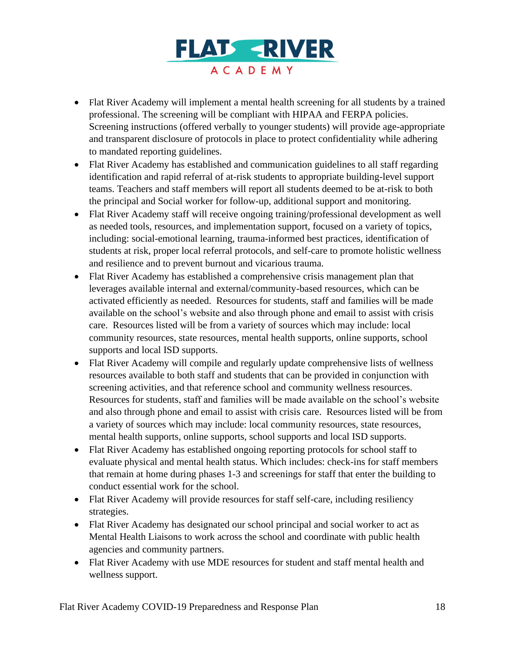

- Flat River Academy will implement a mental health screening for all students by a trained professional. The screening will be compliant with HIPAA and FERPA policies. Screening instructions (offered verbally to younger students) will provide age-appropriate and transparent disclosure of protocols in place to protect confidentiality while adhering to mandated reporting guidelines.
- Flat River Academy has established and communication guidelines to all staff regarding identification and rapid referral of at-risk students to appropriate building-level support teams. Teachers and staff members will report all students deemed to be at-risk to both the principal and Social worker for follow-up, additional support and monitoring.
- Flat River Academy staff will receive ongoing training/professional development as well as needed tools, resources, and implementation support, focused on a variety of topics, including: social-emotional learning, trauma-informed best practices, identification of students at risk, proper local referral protocols, and self-care to promote holistic wellness and resilience and to prevent burnout and vicarious trauma.
- Flat River Academy has established a comprehensive crisis management plan that leverages available internal and external/community-based resources, which can be activated efficiently as needed. Resources for students, staff and families will be made available on the school's website and also through phone and email to assist with crisis care. Resources listed will be from a variety of sources which may include: local community resources, state resources, mental health supports, online supports, school supports and local ISD supports.
- Flat River Academy will compile and regularly update comprehensive lists of wellness resources available to both staff and students that can be provided in conjunction with screening activities, and that reference school and community wellness resources. Resources for students, staff and families will be made available on the school's website and also through phone and email to assist with crisis care. Resources listed will be from a variety of sources which may include: local community resources, state resources, mental health supports, online supports, school supports and local ISD supports.
- Flat River Academy has established ongoing reporting protocols for school staff to evaluate physical and mental health status. Which includes: check-ins for staff members that remain at home during phases 1-3 and screenings for staff that enter the building to conduct essential work for the school.
- Flat River Academy will provide resources for staff self-care, including resiliency strategies.
- Flat River Academy has designated our school principal and social worker to act as Mental Health Liaisons to work across the school and coordinate with public health agencies and community partners.
- Flat River Academy with use MDE resources for student and staff mental health and wellness support.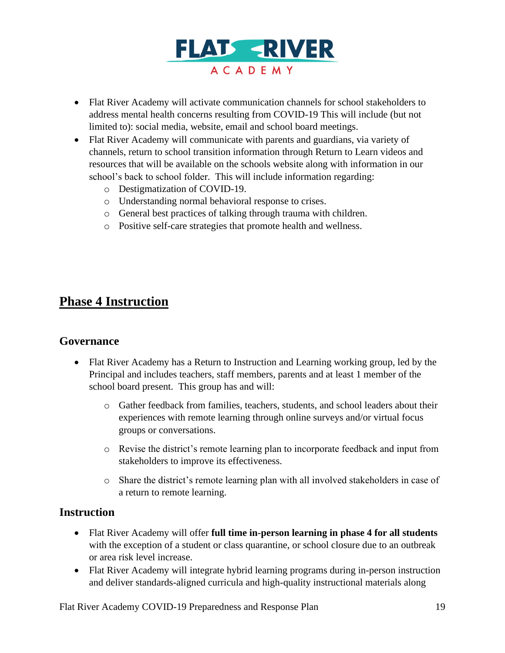

- Flat River Academy will activate communication channels for school stakeholders to address mental health concerns resulting from COVID-19 This will include (but not limited to): social media, website, email and school board meetings.
- Flat River Academy will communicate with parents and guardians, via variety of channels, return to school transition information through Return to Learn videos and resources that will be available on the schools website along with information in our school's back to school folder. This will include information regarding:
	- o Destigmatization of COVID-19.
	- o Understanding normal behavioral response to crises.
	- o General best practices of talking through trauma with children.
	- o Positive self-care strategies that promote health and wellness.

# **Phase 4 Instruction**

#### **Governance**

- Flat River Academy has a Return to Instruction and Learning working group, led by the Principal and includes teachers, staff members, parents and at least 1 member of the school board present. This group has and will:
	- o Gather feedback from families, teachers, students, and school leaders about their experiences with remote learning through online surveys and/or virtual focus groups or conversations.
	- o Revise the district's remote learning plan to incorporate feedback and input from stakeholders to improve its effectiveness.
	- o Share the district's remote learning plan with all involved stakeholders in case of a return to remote learning.

#### **Instruction**

- Flat River Academy will offer **full time in-person learning in phase 4 for all students** with the exception of a student or class quarantine, or school closure due to an outbreak or area risk level increase.
- Flat River Academy will integrate hybrid learning programs during in-person instruction and deliver standards-aligned curricula and high-quality instructional materials along

Flat River Academy COVID-19 Preparedness and Response Plan 19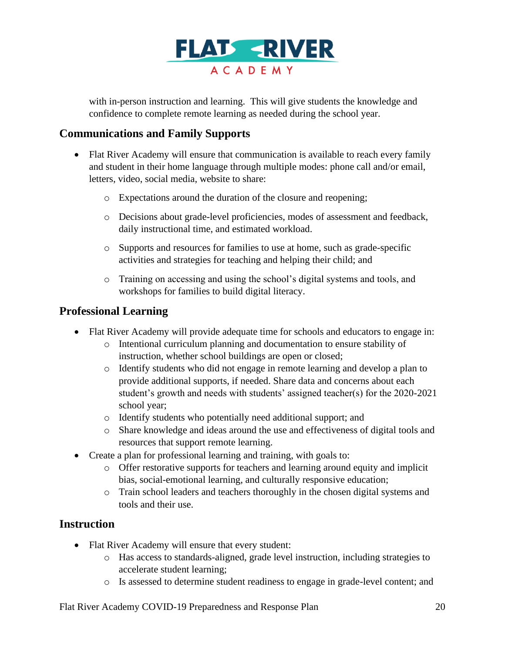

with in-person instruction and learning. This will give students the knowledge and confidence to complete remote learning as needed during the school year.

### **Communications and Family Supports**

- Flat River Academy will ensure that communication is available to reach every family and student in their home language through multiple modes: phone call and/or email, letters, video, social media, website to share:
	- o Expectations around the duration of the closure and reopening;
	- o Decisions about grade-level proficiencies, modes of assessment and feedback, daily instructional time, and estimated workload.
	- o Supports and resources for families to use at home, such as grade-specific activities and strategies for teaching and helping their child; and
	- o Training on accessing and using the school's digital systems and tools, and workshops for families to build digital literacy.

### **Professional Learning**

- Flat River Academy will provide adequate time for schools and educators to engage in:
	- o Intentional curriculum planning and documentation to ensure stability of instruction, whether school buildings are open or closed;
	- o Identify students who did not engage in remote learning and develop a plan to provide additional supports, if needed. Share data and concerns about each student's growth and needs with students' assigned teacher(s) for the 2020-2021 school year;
	- o Identify students who potentially need additional support; and
	- o Share knowledge and ideas around the use and effectiveness of digital tools and resources that support remote learning.
- Create a plan for professional learning and training, with goals to:
	- o Offer restorative supports for teachers and learning around equity and implicit bias, social-emotional learning, and culturally responsive education;
	- o Train school leaders and teachers thoroughly in the chosen digital systems and tools and their use.

## **Instruction**

- Flat River Academy will ensure that every student:
	- o Has access to standards-aligned, grade level instruction, including strategies to accelerate student learning;
	- o Is assessed to determine student readiness to engage in grade-level content; and

Flat River Academy COVID-19 Preparedness and Response Plan 20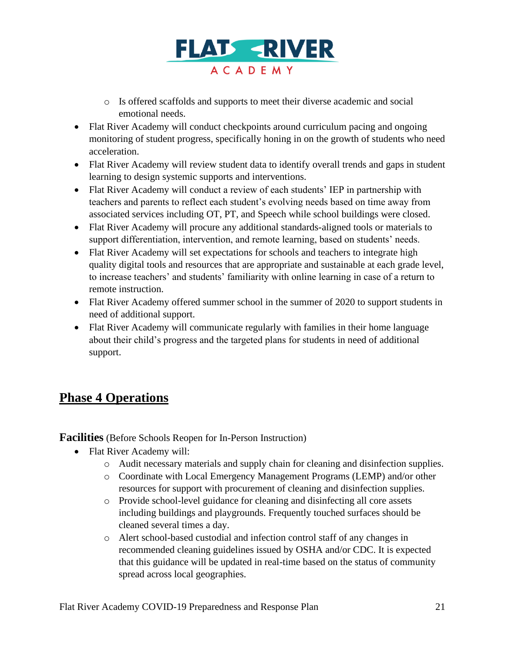

- o Is offered scaffolds and supports to meet their diverse academic and social emotional needs.
- Flat River Academy will conduct checkpoints around curriculum pacing and ongoing monitoring of student progress, specifically honing in on the growth of students who need acceleration.
- Flat River Academy will review student data to identify overall trends and gaps in student learning to design systemic supports and interventions.
- Flat River Academy will conduct a review of each students' IEP in partnership with teachers and parents to reflect each student's evolving needs based on time away from associated services including OT, PT, and Speech while school buildings were closed.
- Flat River Academy will procure any additional standards-aligned tools or materials to support differentiation, intervention, and remote learning, based on students' needs.
- Flat River Academy will set expectations for schools and teachers to integrate high quality digital tools and resources that are appropriate and sustainable at each grade level, to increase teachers' and students' familiarity with online learning in case of a return to remote instruction.
- Flat River Academy offered summer school in the summer of 2020 to support students in need of additional support.
- Flat River Academy will communicate regularly with families in their home language about their child's progress and the targeted plans for students in need of additional support.

# **Phase 4 Operations**

**Facilities** (Before Schools Reopen for In-Person Instruction)

- Flat River Academy will:
	- o Audit necessary materials and supply chain for cleaning and disinfection supplies.
	- o Coordinate with Local Emergency Management Programs (LEMP) and/or other resources for support with procurement of cleaning and disinfection supplies.
	- o Provide school-level guidance for cleaning and disinfecting all core assets including buildings and playgrounds. Frequently touched surfaces should be cleaned several times a day.
	- o Alert school-based custodial and infection control staff of any changes in recommended cleaning guidelines issued by OSHA and/or CDC. It is expected that this guidance will be updated in real-time based on the status of community spread across local geographies.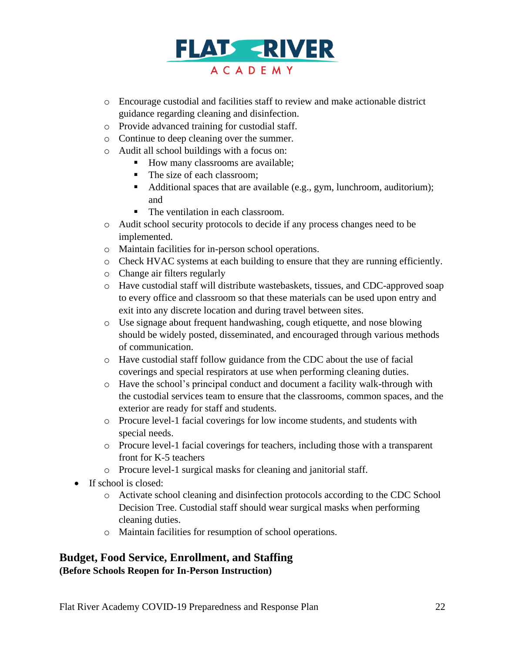

- o Encourage custodial and facilities staff to review and make actionable district guidance regarding cleaning and disinfection.
- o Provide advanced training for custodial staff.
- o Continue to deep cleaning over the summer.
- o Audit all school buildings with a focus on:
	- How many classrooms are available;
	- The size of each classroom;
	- Additional spaces that are available (e.g., gym, lunchroom, auditorium); and
	- The ventilation in each classroom.
- o Audit school security protocols to decide if any process changes need to be implemented.
- o Maintain facilities for in-person school operations.
- o Check HVAC systems at each building to ensure that they are running efficiently.
- o Change air filters regularly
- o Have custodial staff will distribute wastebaskets, tissues, and CDC-approved soap to every office and classroom so that these materials can be used upon entry and exit into any discrete location and during travel between sites.
- o Use signage about frequent handwashing, cough etiquette, and nose blowing should be widely posted, disseminated, and encouraged through various methods of communication.
- o Have custodial staff follow guidance from the CDC about the use of facial coverings and special respirators at use when performing cleaning duties.
- o Have the school's principal conduct and document a facility walk-through with the custodial services team to ensure that the classrooms, common spaces, and the exterior are ready for staff and students.
- o Procure level-1 facial coverings for low income students, and students with special needs.
- o Procure level-1 facial coverings for teachers, including those with a transparent front for K-5 teachers
- o Procure level-1 surgical masks for cleaning and janitorial staff.
- If school is closed:
	- o Activate school cleaning and disinfection protocols according to the CDC School Decision Tree. Custodial staff should wear surgical masks when performing cleaning duties.
	- o Maintain facilities for resumption of school operations.

#### **Budget, Food Service, Enrollment, and Staffing (Before Schools Reopen for In-Person Instruction)**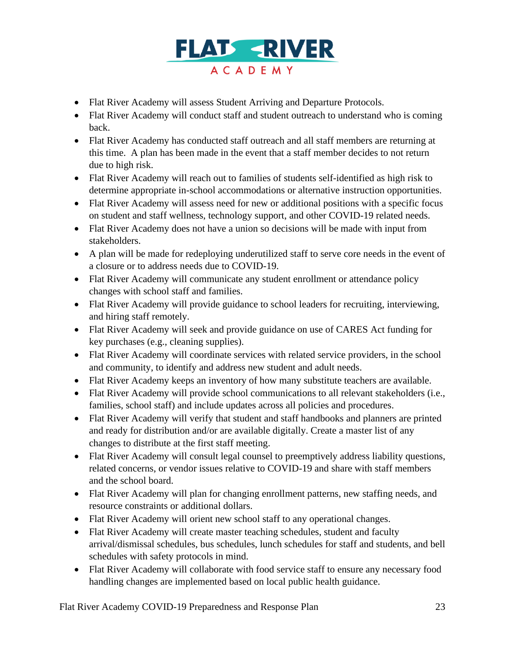

- Flat River Academy will assess Student Arriving and Departure Protocols.
- Flat River Academy will conduct staff and student outreach to understand who is coming back.
- Flat River Academy has conducted staff outreach and all staff members are returning at this time. A plan has been made in the event that a staff member decides to not return due to high risk.
- Flat River Academy will reach out to families of students self-identified as high risk to determine appropriate in-school accommodations or alternative instruction opportunities.
- Flat River Academy will assess need for new or additional positions with a specific focus on student and staff wellness, technology support, and other COVID-19 related needs.
- Flat River Academy does not have a union so decisions will be made with input from stakeholders.
- A plan will be made for redeploying underutilized staff to serve core needs in the event of a closure or to address needs due to COVID-19.
- Flat River Academy will communicate any student enrollment or attendance policy changes with school staff and families.
- Flat River Academy will provide guidance to school leaders for recruiting, interviewing, and hiring staff remotely.
- Flat River Academy will seek and provide guidance on use of CARES Act funding for key purchases (e.g., cleaning supplies).
- Flat River Academy will coordinate services with related service providers, in the school and community, to identify and address new student and adult needs.
- Flat River Academy keeps an inventory of how many substitute teachers are available.
- Flat River Academy will provide school communications to all relevant stakeholders (i.e., families, school staff) and include updates across all policies and procedures.
- Flat River Academy will verify that student and staff handbooks and planners are printed and ready for distribution and/or are available digitally. Create a master list of any changes to distribute at the first staff meeting.
- Flat River Academy will consult legal counsel to preemptively address liability questions, related concerns, or vendor issues relative to COVID-19 and share with staff members and the school board.
- Flat River Academy will plan for changing enrollment patterns, new staffing needs, and resource constraints or additional dollars.
- Flat River Academy will orient new school staff to any operational changes.
- Flat River Academy will create master teaching schedules, student and faculty arrival/dismissal schedules, bus schedules, lunch schedules for staff and students, and bell schedules with safety protocols in mind.
- Flat River Academy will collaborate with food service staff to ensure any necessary food handling changes are implemented based on local public health guidance.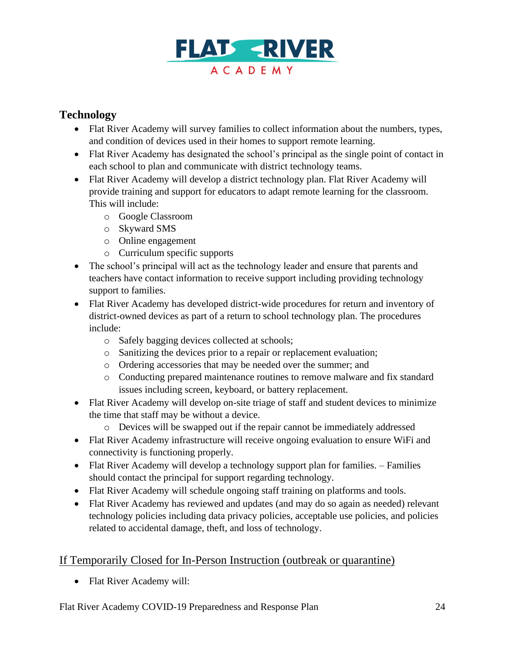

# **Technology**

- Flat River Academy will survey families to collect information about the numbers, types, and condition of devices used in their homes to support remote learning.
- Flat River Academy has designated the school's principal as the single point of contact in each school to plan and communicate with district technology teams.
- Flat River Academy will develop a district technology plan. Flat River Academy will provide training and support for educators to adapt remote learning for the classroom. This will include:
	- o Google Classroom
	- o Skyward SMS
	- o Online engagement
	- o Curriculum specific supports
- The school's principal will act as the technology leader and ensure that parents and teachers have contact information to receive support including providing technology support to families.
- Flat River Academy has developed district-wide procedures for return and inventory of district-owned devices as part of a return to school technology plan. The procedures include:
	- o Safely bagging devices collected at schools;
	- o Sanitizing the devices prior to a repair or replacement evaluation;
	- o Ordering accessories that may be needed over the summer; and
	- o Conducting prepared maintenance routines to remove malware and fix standard issues including screen, keyboard, or battery replacement.
- Flat River Academy will develop on-site triage of staff and student devices to minimize the time that staff may be without a device.
	- o Devices will be swapped out if the repair cannot be immediately addressed
- Flat River Academy infrastructure will receive ongoing evaluation to ensure WiFi and connectivity is functioning properly.
- Flat River Academy will develop a technology support plan for families. Families should contact the principal for support regarding technology.
- Flat River Academy will schedule ongoing staff training on platforms and tools.
- Flat River Academy has reviewed and updates (and may do so again as needed) relevant technology policies including data privacy policies, acceptable use policies, and policies related to accidental damage, theft, and loss of technology.

# If Temporarily Closed for In-Person Instruction (outbreak or quarantine)

• Flat River Academy will: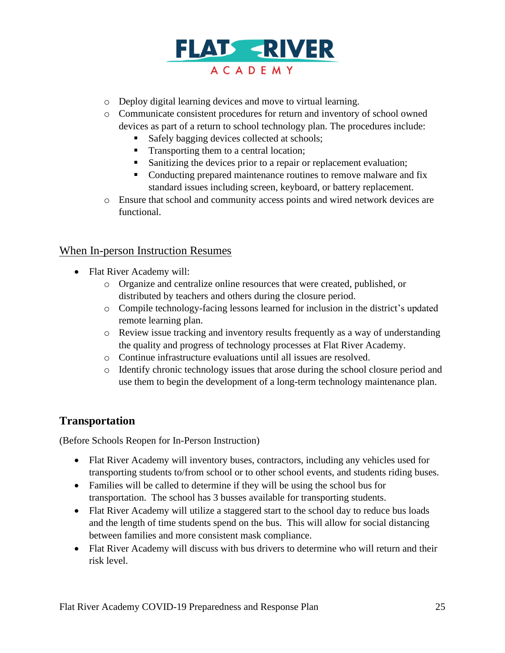

- o Deploy digital learning devices and move to virtual learning.
- o Communicate consistent procedures for return and inventory of school owned devices as part of a return to school technology plan. The procedures include:
	- Safely bagging devices collected at schools;
	- Transporting them to a central location;
	- Sanitizing the devices prior to a repair or replacement evaluation;
	- Conducting prepared maintenance routines to remove malware and fix standard issues including screen, keyboard, or battery replacement.
- o Ensure that school and community access points and wired network devices are functional.

#### When In-person Instruction Resumes

- Flat River Academy will:
	- o Organize and centralize online resources that were created, published, or distributed by teachers and others during the closure period.
	- o Compile technology-facing lessons learned for inclusion in the district's updated remote learning plan.
	- $\circ$  Review issue tracking and inventory results frequently as a way of understanding the quality and progress of technology processes at Flat River Academy.
	- o Continue infrastructure evaluations until all issues are resolved.
	- o Identify chronic technology issues that arose during the school closure period and use them to begin the development of a long-term technology maintenance plan.

## **Transportation**

(Before Schools Reopen for In-Person Instruction)

- Flat River Academy will inventory buses, contractors, including any vehicles used for transporting students to/from school or to other school events, and students riding buses.
- Families will be called to determine if they will be using the school bus for transportation. The school has 3 busses available for transporting students.
- Flat River Academy will utilize a staggered start to the school day to reduce bus loads and the length of time students spend on the bus. This will allow for social distancing between families and more consistent mask compliance.
- Flat River Academy will discuss with bus drivers to determine who will return and their risk level.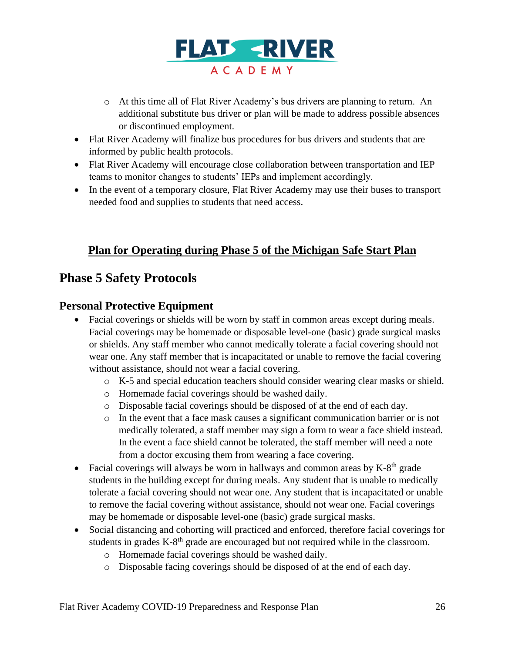

- o At this time all of Flat River Academy's bus drivers are planning to return. An additional substitute bus driver or plan will be made to address possible absences or discontinued employment.
- Flat River Academy will finalize bus procedures for bus drivers and students that are informed by public health protocols.
- Flat River Academy will encourage close collaboration between transportation and IEP teams to monitor changes to students' IEPs and implement accordingly.
- In the event of a temporary closure, Flat River Academy may use their buses to transport needed food and supplies to students that need access.

# **Plan for Operating during Phase 5 of the Michigan Safe Start Plan**

# **Phase 5 Safety Protocols**

# **Personal Protective Equipment**

- Facial coverings or shields will be worn by staff in common areas except during meals. Facial coverings may be homemade or disposable level-one (basic) grade surgical masks or shields. Any staff member who cannot medically tolerate a facial covering should not wear one. Any staff member that is incapacitated or unable to remove the facial covering without assistance, should not wear a facial covering.
	- o K-5 and special education teachers should consider wearing clear masks or shield.
	- o Homemade facial coverings should be washed daily.
	- o Disposable facial coverings should be disposed of at the end of each day.
	- o In the event that a face mask causes a significant communication barrier or is not medically tolerated, a staff member may sign a form to wear a face shield instead. In the event a face shield cannot be tolerated, the staff member will need a note from a doctor excusing them from wearing a face covering.
- Facial coverings will always be worn in hallways and common areas by  $K-8<sup>th</sup>$  grade students in the building except for during meals. Any student that is unable to medically tolerate a facial covering should not wear one. Any student that is incapacitated or unable to remove the facial covering without assistance, should not wear one. Facial coverings may be homemade or disposable level-one (basic) grade surgical masks.
- Social distancing and cohorting will practiced and enforced, therefore facial coverings for students in grades  $K-8<sup>th</sup>$  grade are encouraged but not required while in the classroom.
	- o Homemade facial coverings should be washed daily.
	- o Disposable facing coverings should be disposed of at the end of each day.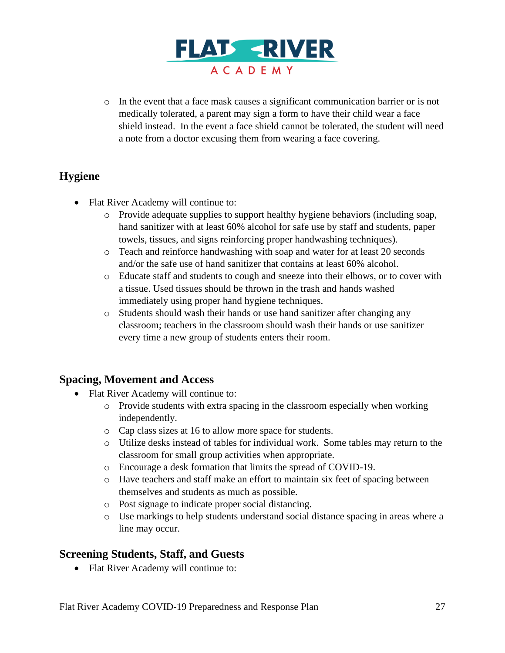

o In the event that a face mask causes a significant communication barrier or is not medically tolerated, a parent may sign a form to have their child wear a face shield instead. In the event a face shield cannot be tolerated, the student will need a note from a doctor excusing them from wearing a face covering.

# **Hygiene**

- Flat River Academy will continue to:
	- o Provide adequate supplies to support healthy hygiene behaviors (including soap, hand sanitizer with at least 60% alcohol for safe use by staff and students, paper towels, tissues, and signs reinforcing proper handwashing techniques).
	- o Teach and reinforce handwashing with soap and water for at least 20 seconds and/or the safe use of hand sanitizer that contains at least 60% alcohol.
	- o Educate staff and students to cough and sneeze into their elbows, or to cover with a tissue. Used tissues should be thrown in the trash and hands washed immediately using proper hand hygiene techniques.
	- o Students should wash their hands or use hand sanitizer after changing any classroom; teachers in the classroom should wash their hands or use sanitizer every time a new group of students enters their room.

## **Spacing, Movement and Access**

- Flat River Academy will continue to:
	- $\circ$  Provide students with extra spacing in the classroom especially when working independently.
	- o Cap class sizes at 16 to allow more space for students.
	- o Utilize desks instead of tables for individual work. Some tables may return to the classroom for small group activities when appropriate.
	- o Encourage a desk formation that limits the spread of COVID-19.
	- o Have teachers and staff make an effort to maintain six feet of spacing between themselves and students as much as possible.
	- o Post signage to indicate proper social distancing.
	- o Use markings to help students understand social distance spacing in areas where a line may occur.

# **Screening Students, Staff, and Guests**

• Flat River Academy will continue to: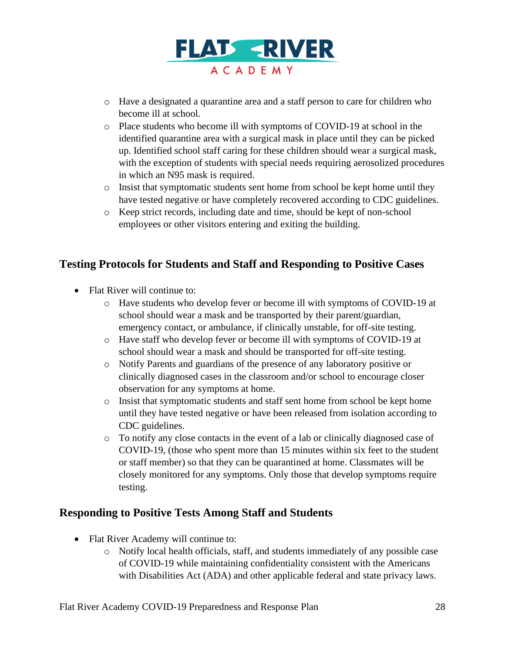

- o Have a designated a quarantine area and a staff person to care for children who become ill at school.
- o Place students who become ill with symptoms of COVID-19 at school in the identified quarantine area with a surgical mask in place until they can be picked up. Identified school staff caring for these children should wear a surgical mask, with the exception of students with special needs requiring aerosolized procedures in which an N95 mask is required.
- $\circ$  Insist that symptomatic students sent home from school be kept home until they have tested negative or have completely recovered according to CDC guidelines.
- o Keep strict records, including date and time, should be kept of non-school employees or other visitors entering and exiting the building.

# **Testing Protocols for Students and Staff and Responding to Positive Cases**

- Flat River will continue to:
	- o Have students who develop fever or become ill with symptoms of COVID-19 at school should wear a mask and be transported by their parent/guardian, emergency contact, or ambulance, if clinically unstable, for off-site testing.
	- o Have staff who develop fever or become ill with symptoms of COVID-19 at school should wear a mask and should be transported for off-site testing.
	- o Notify Parents and guardians of the presence of any laboratory positive or clinically diagnosed cases in the classroom and/or school to encourage closer observation for any symptoms at home.
	- o Insist that symptomatic students and staff sent home from school be kept home until they have tested negative or have been released from isolation according to CDC guidelines.
	- o To notify any close contacts in the event of a lab or clinically diagnosed case of COVID-19, (those who spent more than 15 minutes within six feet to the student or staff member) so that they can be quarantined at home. Classmates will be closely monitored for any symptoms. Only those that develop symptoms require testing.

## **Responding to Positive Tests Among Staff and Students**

- Flat River Academy will continue to:
	- o Notify local health officials, staff, and students immediately of any possible case of COVID-19 while maintaining confidentiality consistent with the Americans with Disabilities Act (ADA) and other applicable federal and state privacy laws.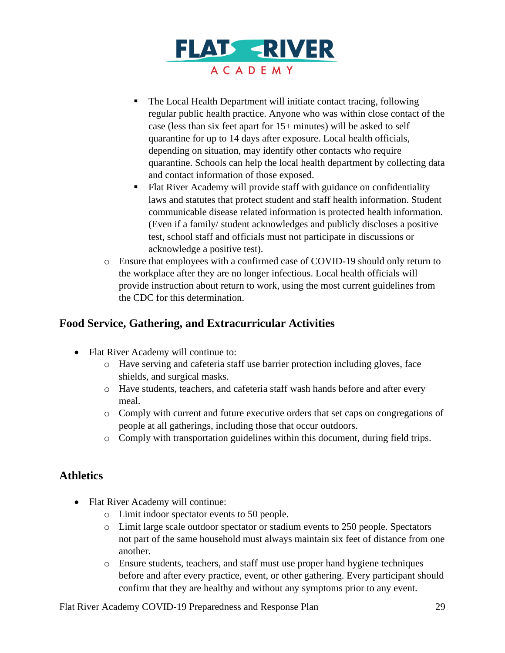

- The Local Health Department will initiate contact tracing, following regular public health practice. Anyone who was within close contact of the case (less than six feet apart for 15+ minutes) will be asked to self quarantine for up to 14 days after exposure. Local health officials, depending on situation, may identify other contacts who require quarantine. Schools can help the local health department by collecting data and contact information of those exposed.
- Flat River Academy will provide staff with guidance on confidentiality laws and statutes that protect student and staff health information. Student communicable disease related information is protected health information. (Even if a family/ student acknowledges and publicly discloses a positive test, school staff and officials must not participate in discussions or acknowledge a positive test).
- o Ensure that employees with a confirmed case of COVID-19 should only return to the workplace after they are no longer infectious. Local health officials will provide instruction about return to work, using the most current guidelines from the CDC for this determination.

# **Food Service, Gathering, and Extracurricular Activities**

- Flat River Academy will continue to:
	- o Have serving and cafeteria staff use barrier protection including gloves, face shields, and surgical masks.
	- o Have students, teachers, and cafeteria staff wash hands before and after every meal.
	- o Comply with current and future executive orders that set caps on congregations of people at all gatherings, including those that occur outdoors.
	- o Comply with transportation guidelines within this document, during field trips.

# **Athletics**

- Flat River Academy will continue:
	- o Limit indoor spectator events to 50 people.
	- o Limit large scale outdoor spectator or stadium events to 250 people. Spectators not part of the same household must always maintain six feet of distance from one another.
	- o Ensure students, teachers, and staff must use proper hand hygiene techniques before and after every practice, event, or other gathering. Every participant should confirm that they are healthy and without any symptoms prior to any event.

Flat River Academy COVID-19 Preparedness and Response Plan 29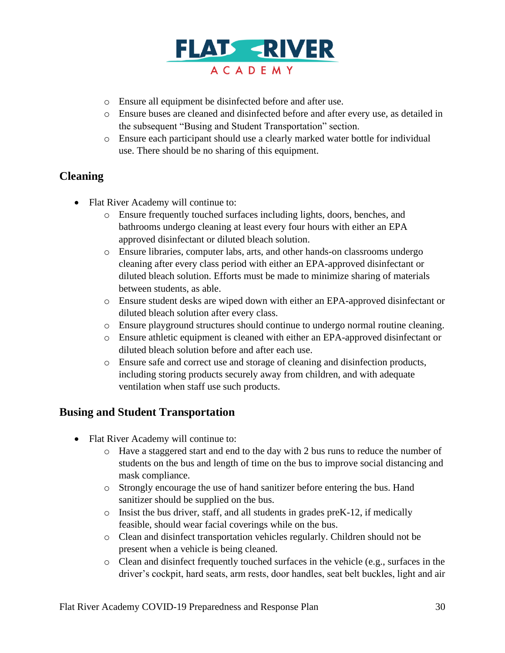

- o Ensure all equipment be disinfected before and after use.
- o Ensure buses are cleaned and disinfected before and after every use, as detailed in the subsequent "Busing and Student Transportation" section.
- o Ensure each participant should use a clearly marked water bottle for individual use. There should be no sharing of this equipment.

# **Cleaning**

- Flat River Academy will continue to:
	- o Ensure frequently touched surfaces including lights, doors, benches, and bathrooms undergo cleaning at least every four hours with either an EPA approved disinfectant or diluted bleach solution.
	- o Ensure libraries, computer labs, arts, and other hands-on classrooms undergo cleaning after every class period with either an EPA-approved disinfectant or diluted bleach solution. Efforts must be made to minimize sharing of materials between students, as able.
	- o Ensure student desks are wiped down with either an EPA-approved disinfectant or diluted bleach solution after every class.
	- o Ensure playground structures should continue to undergo normal routine cleaning.
	- o Ensure athletic equipment is cleaned with either an EPA-approved disinfectant or diluted bleach solution before and after each use.
	- o Ensure safe and correct use and storage of cleaning and disinfection products, including storing products securely away from children, and with adequate ventilation when staff use such products.

## **Busing and Student Transportation**

- Flat River Academy will continue to:
	- o Have a staggered start and end to the day with 2 bus runs to reduce the number of students on the bus and length of time on the bus to improve social distancing and mask compliance.
	- o Strongly encourage the use of hand sanitizer before entering the bus. Hand sanitizer should be supplied on the bus.
	- o Insist the bus driver, staff, and all students in grades preK-12, if medically feasible, should wear facial coverings while on the bus.
	- o Clean and disinfect transportation vehicles regularly. Children should not be present when a vehicle is being cleaned.
	- o Clean and disinfect frequently touched surfaces in the vehicle (e.g., surfaces in the driver's cockpit, hard seats, arm rests, door handles, seat belt buckles, light and air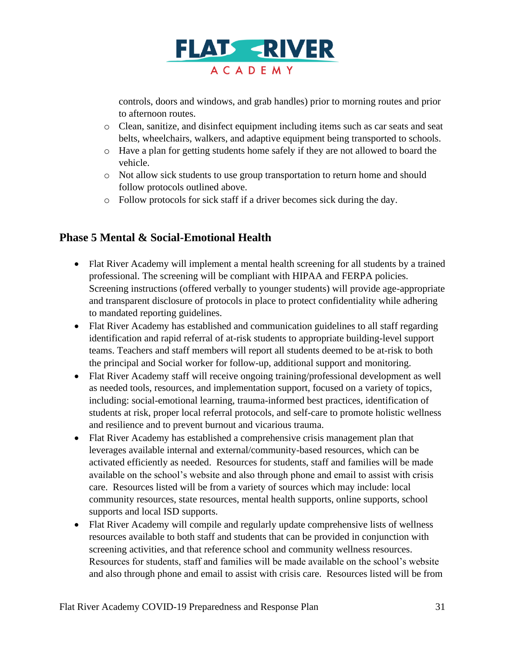

controls, doors and windows, and grab handles) prior to morning routes and prior to afternoon routes.

- o Clean, sanitize, and disinfect equipment including items such as car seats and seat belts, wheelchairs, walkers, and adaptive equipment being transported to schools.
- o Have a plan for getting students home safely if they are not allowed to board the vehicle.
- o Not allow sick students to use group transportation to return home and should follow protocols outlined above.
- o Follow protocols for sick staff if a driver becomes sick during the day.

## **Phase 5 Mental & Social-Emotional Health**

- Flat River Academy will implement a mental health screening for all students by a trained professional. The screening will be compliant with HIPAA and FERPA policies. Screening instructions (offered verbally to younger students) will provide age-appropriate and transparent disclosure of protocols in place to protect confidentiality while adhering to mandated reporting guidelines.
- Flat River Academy has established and communication guidelines to all staff regarding identification and rapid referral of at-risk students to appropriate building-level support teams. Teachers and staff members will report all students deemed to be at-risk to both the principal and Social worker for follow-up, additional support and monitoring.
- Flat River Academy staff will receive ongoing training/professional development as well as needed tools, resources, and implementation support, focused on a variety of topics, including: social-emotional learning, trauma-informed best practices, identification of students at risk, proper local referral protocols, and self-care to promote holistic wellness and resilience and to prevent burnout and vicarious trauma.
- Flat River Academy has established a comprehensive crisis management plan that leverages available internal and external/community-based resources, which can be activated efficiently as needed. Resources for students, staff and families will be made available on the school's website and also through phone and email to assist with crisis care. Resources listed will be from a variety of sources which may include: local community resources, state resources, mental health supports, online supports, school supports and local ISD supports.
- Flat River Academy will compile and regularly update comprehensive lists of wellness resources available to both staff and students that can be provided in conjunction with screening activities, and that reference school and community wellness resources. Resources for students, staff and families will be made available on the school's website and also through phone and email to assist with crisis care. Resources listed will be from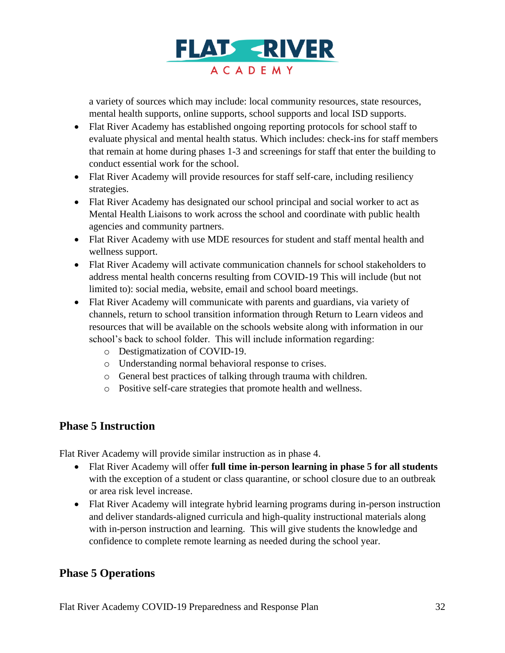

a variety of sources which may include: local community resources, state resources, mental health supports, online supports, school supports and local ISD supports.

- Flat River Academy has established ongoing reporting protocols for school staff to evaluate physical and mental health status. Which includes: check-ins for staff members that remain at home during phases 1-3 and screenings for staff that enter the building to conduct essential work for the school.
- Flat River Academy will provide resources for staff self-care, including resiliency strategies.
- Flat River Academy has designated our school principal and social worker to act as Mental Health Liaisons to work across the school and coordinate with public health agencies and community partners.
- Flat River Academy with use MDE resources for student and staff mental health and wellness support.
- Flat River Academy will activate communication channels for school stakeholders to address mental health concerns resulting from COVID-19 This will include (but not limited to): social media, website, email and school board meetings.
- Flat River Academy will communicate with parents and guardians, via variety of channels, return to school transition information through Return to Learn videos and resources that will be available on the schools website along with information in our school's back to school folder. This will include information regarding:
	- o Destigmatization of COVID-19.
	- o Understanding normal behavioral response to crises.
	- o General best practices of talking through trauma with children.
	- o Positive self-care strategies that promote health and wellness.

## **Phase 5 Instruction**

Flat River Academy will provide similar instruction as in phase 4.

- Flat River Academy will offer **full time in-person learning in phase 5 for all students** with the exception of a student or class quarantine, or school closure due to an outbreak or area risk level increase.
- Flat River Academy will integrate hybrid learning programs during in-person instruction and deliver standards-aligned curricula and high-quality instructional materials along with in-person instruction and learning. This will give students the knowledge and confidence to complete remote learning as needed during the school year.

# **Phase 5 Operations**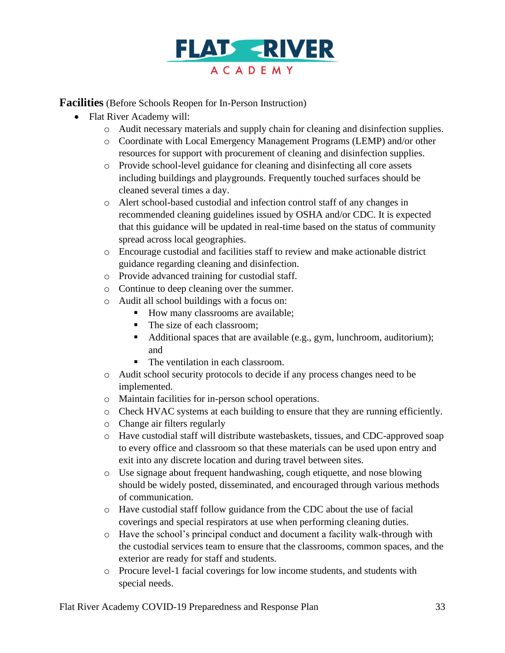

**Facilities** (Before Schools Reopen for In-Person Instruction)

- Flat River Academy will:
	- o Audit necessary materials and supply chain for cleaning and disinfection supplies.
	- o Coordinate with Local Emergency Management Programs (LEMP) and/or other resources for support with procurement of cleaning and disinfection supplies.
	- o Provide school-level guidance for cleaning and disinfecting all core assets including buildings and playgrounds. Frequently touched surfaces should be cleaned several times a day.
	- o Alert school-based custodial and infection control staff of any changes in recommended cleaning guidelines issued by OSHA and/or CDC. It is expected that this guidance will be updated in real-time based on the status of community spread across local geographies.
	- o Encourage custodial and facilities staff to review and make actionable district guidance regarding cleaning and disinfection.
	- o Provide advanced training for custodial staff.
	- o Continue to deep cleaning over the summer.
	- o Audit all school buildings with a focus on:
		- How many classrooms are available;
		- The size of each classroom;
		- Additional spaces that are available (e.g., gym, lunchroom, auditorium); and
		- The ventilation in each classroom.
	- o Audit school security protocols to decide if any process changes need to be implemented.
	- o Maintain facilities for in-person school operations.
	- o Check HVAC systems at each building to ensure that they are running efficiently.
	- o Change air filters regularly
	- o Have custodial staff will distribute wastebaskets, tissues, and CDC-approved soap to every office and classroom so that these materials can be used upon entry and exit into any discrete location and during travel between sites.
	- o Use signage about frequent handwashing, cough etiquette, and nose blowing should be widely posted, disseminated, and encouraged through various methods of communication.
	- o Have custodial staff follow guidance from the CDC about the use of facial coverings and special respirators at use when performing cleaning duties.
	- o Have the school's principal conduct and document a facility walk-through with the custodial services team to ensure that the classrooms, common spaces, and the exterior are ready for staff and students.
	- o Procure level-1 facial coverings for low income students, and students with special needs.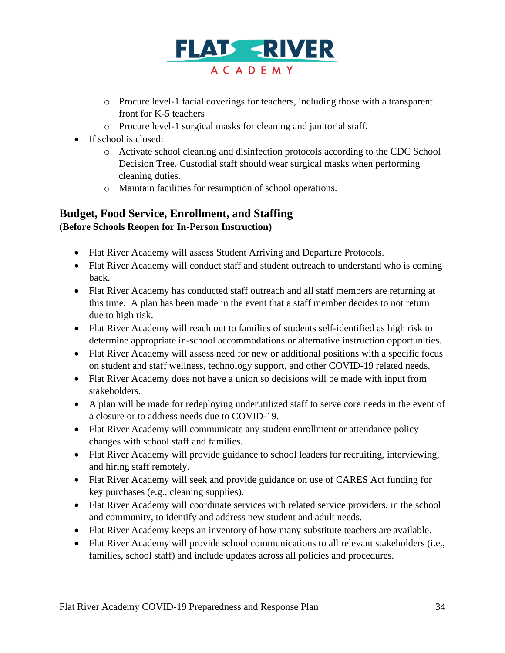

- o Procure level-1 facial coverings for teachers, including those with a transparent front for K-5 teachers
- o Procure level-1 surgical masks for cleaning and janitorial staff.
- If school is closed:
	- o Activate school cleaning and disinfection protocols according to the CDC School Decision Tree. Custodial staff should wear surgical masks when performing cleaning duties.
	- o Maintain facilities for resumption of school operations.

## **Budget, Food Service, Enrollment, and Staffing (Before Schools Reopen for In-Person Instruction)**

- Flat River Academy will assess Student Arriving and Departure Protocols.
- Flat River Academy will conduct staff and student outreach to understand who is coming back.
- Flat River Academy has conducted staff outreach and all staff members are returning at this time. A plan has been made in the event that a staff member decides to not return due to high risk.
- Flat River Academy will reach out to families of students self-identified as high risk to determine appropriate in-school accommodations or alternative instruction opportunities.
- Flat River Academy will assess need for new or additional positions with a specific focus on student and staff wellness, technology support, and other COVID-19 related needs.
- Flat River Academy does not have a union so decisions will be made with input from stakeholders.
- A plan will be made for redeploying underutilized staff to serve core needs in the event of a closure or to address needs due to COVID-19.
- Flat River Academy will communicate any student enrollment or attendance policy changes with school staff and families.
- Flat River Academy will provide guidance to school leaders for recruiting, interviewing, and hiring staff remotely.
- Flat River Academy will seek and provide guidance on use of CARES Act funding for key purchases (e.g., cleaning supplies).
- Flat River Academy will coordinate services with related service providers, in the school and community, to identify and address new student and adult needs.
- Flat River Academy keeps an inventory of how many substitute teachers are available.
- Flat River Academy will provide school communications to all relevant stakeholders (i.e., families, school staff) and include updates across all policies and procedures.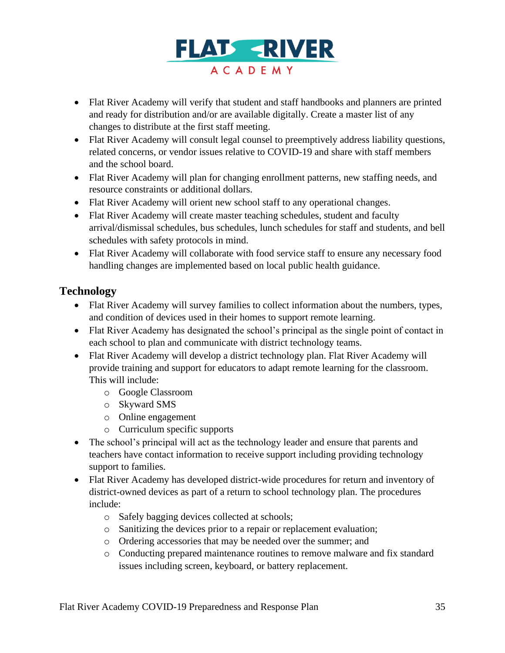

- Flat River Academy will verify that student and staff handbooks and planners are printed and ready for distribution and/or are available digitally. Create a master list of any changes to distribute at the first staff meeting.
- Flat River Academy will consult legal counsel to preemptively address liability questions, related concerns, or vendor issues relative to COVID-19 and share with staff members and the school board.
- Flat River Academy will plan for changing enrollment patterns, new staffing needs, and resource constraints or additional dollars.
- Flat River Academy will orient new school staff to any operational changes.
- Flat River Academy will create master teaching schedules, student and faculty arrival/dismissal schedules, bus schedules, lunch schedules for staff and students, and bell schedules with safety protocols in mind.
- Flat River Academy will collaborate with food service staff to ensure any necessary food handling changes are implemented based on local public health guidance.

# **Technology**

- Flat River Academy will survey families to collect information about the numbers, types, and condition of devices used in their homes to support remote learning.
- Flat River Academy has designated the school's principal as the single point of contact in each school to plan and communicate with district technology teams.
- Flat River Academy will develop a district technology plan. Flat River Academy will provide training and support for educators to adapt remote learning for the classroom. This will include:
	- o Google Classroom
	- o Skyward SMS
	- o Online engagement
	- o Curriculum specific supports
- The school's principal will act as the technology leader and ensure that parents and teachers have contact information to receive support including providing technology support to families.
- Flat River Academy has developed district-wide procedures for return and inventory of district-owned devices as part of a return to school technology plan. The procedures include:
	- o Safely bagging devices collected at schools;
	- o Sanitizing the devices prior to a repair or replacement evaluation;
	- o Ordering accessories that may be needed over the summer; and
	- o Conducting prepared maintenance routines to remove malware and fix standard issues including screen, keyboard, or battery replacement.